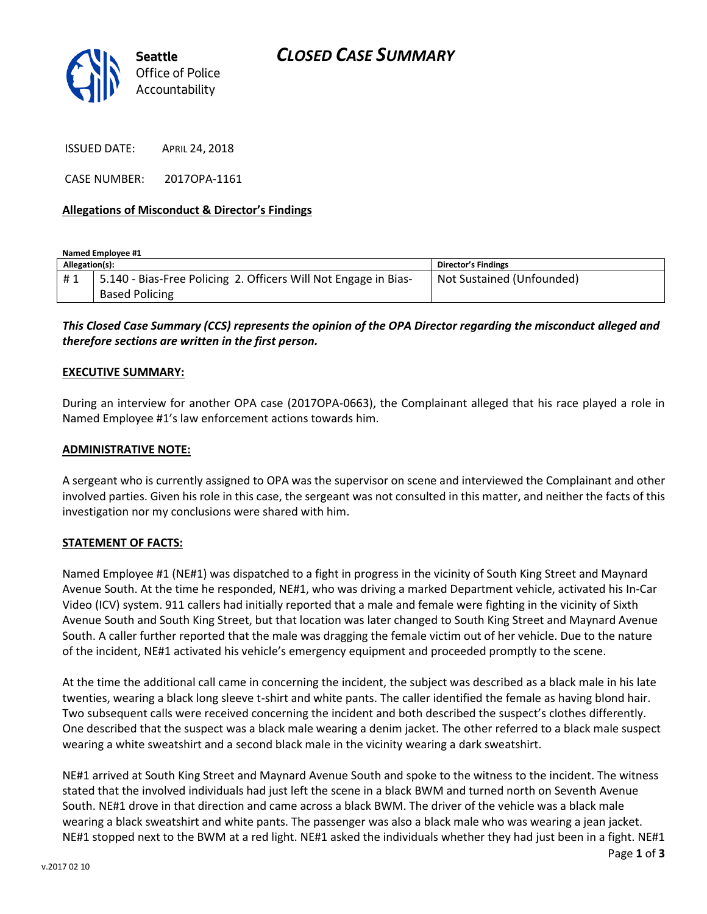

ISSUED DATE: APRIL 24, 2018

CASE NUMBER: 2017OPA-1161

### **Allegations of Misconduct & Director's Findings**

**Named Employee #1 Allegation(s): Director's Findings** # 1 | 5.140 - Bias-Free Policing 2. Officers Will Not Engage in Bias-Based Policing Not Sustained (Unfounded)

## *This Closed Case Summary (CCS) represents the opinion of the OPA Director regarding the misconduct alleged and therefore sections are written in the first person.*

#### **EXECUTIVE SUMMARY:**

During an interview for another OPA case (2017OPA-0663), the Complainant alleged that his race played a role in Named Employee #1's law enforcement actions towards him.

#### **ADMINISTRATIVE NOTE:**

A sergeant who is currently assigned to OPA was the supervisor on scene and interviewed the Complainant and other involved parties. Given his role in this case, the sergeant was not consulted in this matter, and neither the facts of this investigation nor my conclusions were shared with him.

#### **STATEMENT OF FACTS:**

Named Employee #1 (NE#1) was dispatched to a fight in progress in the vicinity of South King Street and Maynard Avenue South. At the time he responded, NE#1, who was driving a marked Department vehicle, activated his In-Car Video (ICV) system. 911 callers had initially reported that a male and female were fighting in the vicinity of Sixth Avenue South and South King Street, but that location was later changed to South King Street and Maynard Avenue South. A caller further reported that the male was dragging the female victim out of her vehicle. Due to the nature of the incident, NE#1 activated his vehicle's emergency equipment and proceeded promptly to the scene.

At the time the additional call came in concerning the incident, the subject was described as a black male in his late twenties, wearing a black long sleeve t-shirt and white pants. The caller identified the female as having blond hair. Two subsequent calls were received concerning the incident and both described the suspect's clothes differently. One described that the suspect was a black male wearing a denim jacket. The other referred to a black male suspect wearing a white sweatshirt and a second black male in the vicinity wearing a dark sweatshirt.

NE#1 arrived at South King Street and Maynard Avenue South and spoke to the witness to the incident. The witness stated that the involved individuals had just left the scene in a black BWM and turned north on Seventh Avenue South. NE#1 drove in that direction and came across a black BWM. The driver of the vehicle was a black male wearing a black sweatshirt and white pants. The passenger was also a black male who was wearing a jean jacket. NE#1 stopped next to the BWM at a red light. NE#1 asked the individuals whether they had just been in a fight. NE#1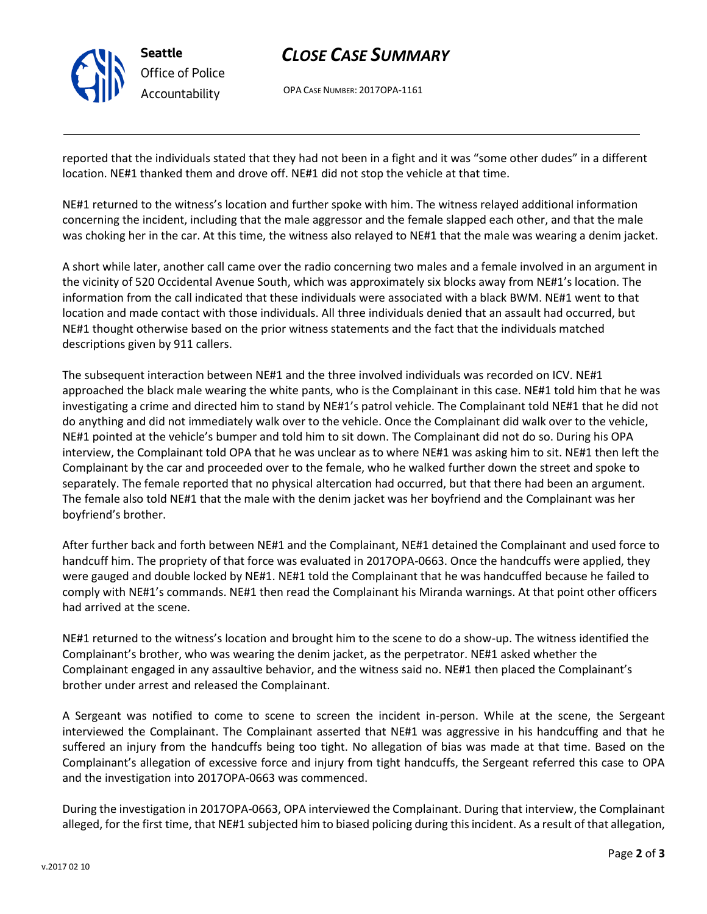

# *CLOSE CASE SUMMARY*

OPA CASE NUMBER: 2017OPA-1161

reported that the individuals stated that they had not been in a fight and it was "some other dudes" in a different location. NE#1 thanked them and drove off. NE#1 did not stop the vehicle at that time.

NE#1 returned to the witness's location and further spoke with him. The witness relayed additional information concerning the incident, including that the male aggressor and the female slapped each other, and that the male was choking her in the car. At this time, the witness also relayed to NE#1 that the male was wearing a denim jacket.

A short while later, another call came over the radio concerning two males and a female involved in an argument in the vicinity of 520 Occidental Avenue South, which was approximately six blocks away from NE#1's location. The information from the call indicated that these individuals were associated with a black BWM. NE#1 went to that location and made contact with those individuals. All three individuals denied that an assault had occurred, but NE#1 thought otherwise based on the prior witness statements and the fact that the individuals matched descriptions given by 911 callers.

The subsequent interaction between NE#1 and the three involved individuals was recorded on ICV. NE#1 approached the black male wearing the white pants, who is the Complainant in this case. NE#1 told him that he was investigating a crime and directed him to stand by NE#1's patrol vehicle. The Complainant told NE#1 that he did not do anything and did not immediately walk over to the vehicle. Once the Complainant did walk over to the vehicle, NE#1 pointed at the vehicle's bumper and told him to sit down. The Complainant did not do so. During his OPA interview, the Complainant told OPA that he was unclear as to where NE#1 was asking him to sit. NE#1 then left the Complainant by the car and proceeded over to the female, who he walked further down the street and spoke to separately. The female reported that no physical altercation had occurred, but that there had been an argument. The female also told NE#1 that the male with the denim jacket was her boyfriend and the Complainant was her boyfriend's brother.

After further back and forth between NE#1 and the Complainant, NE#1 detained the Complainant and used force to handcuff him. The propriety of that force was evaluated in 2017OPA-0663. Once the handcuffs were applied, they were gauged and double locked by NE#1. NE#1 told the Complainant that he was handcuffed because he failed to comply with NE#1's commands. NE#1 then read the Complainant his Miranda warnings. At that point other officers had arrived at the scene.

NE#1 returned to the witness's location and brought him to the scene to do a show-up. The witness identified the Complainant's brother, who was wearing the denim jacket, as the perpetrator. NE#1 asked whether the Complainant engaged in any assaultive behavior, and the witness said no. NE#1 then placed the Complainant's brother under arrest and released the Complainant.

A Sergeant was notified to come to scene to screen the incident in-person. While at the scene, the Sergeant interviewed the Complainant. The Complainant asserted that NE#1 was aggressive in his handcuffing and that he suffered an injury from the handcuffs being too tight. No allegation of bias was made at that time. Based on the Complainant's allegation of excessive force and injury from tight handcuffs, the Sergeant referred this case to OPA and the investigation into 2017OPA-0663 was commenced.

During the investigation in 2017OPA-0663, OPA interviewed the Complainant. During that interview, the Complainant alleged, for the first time, that NE#1 subjected him to biased policing during this incident. As a result of that allegation,